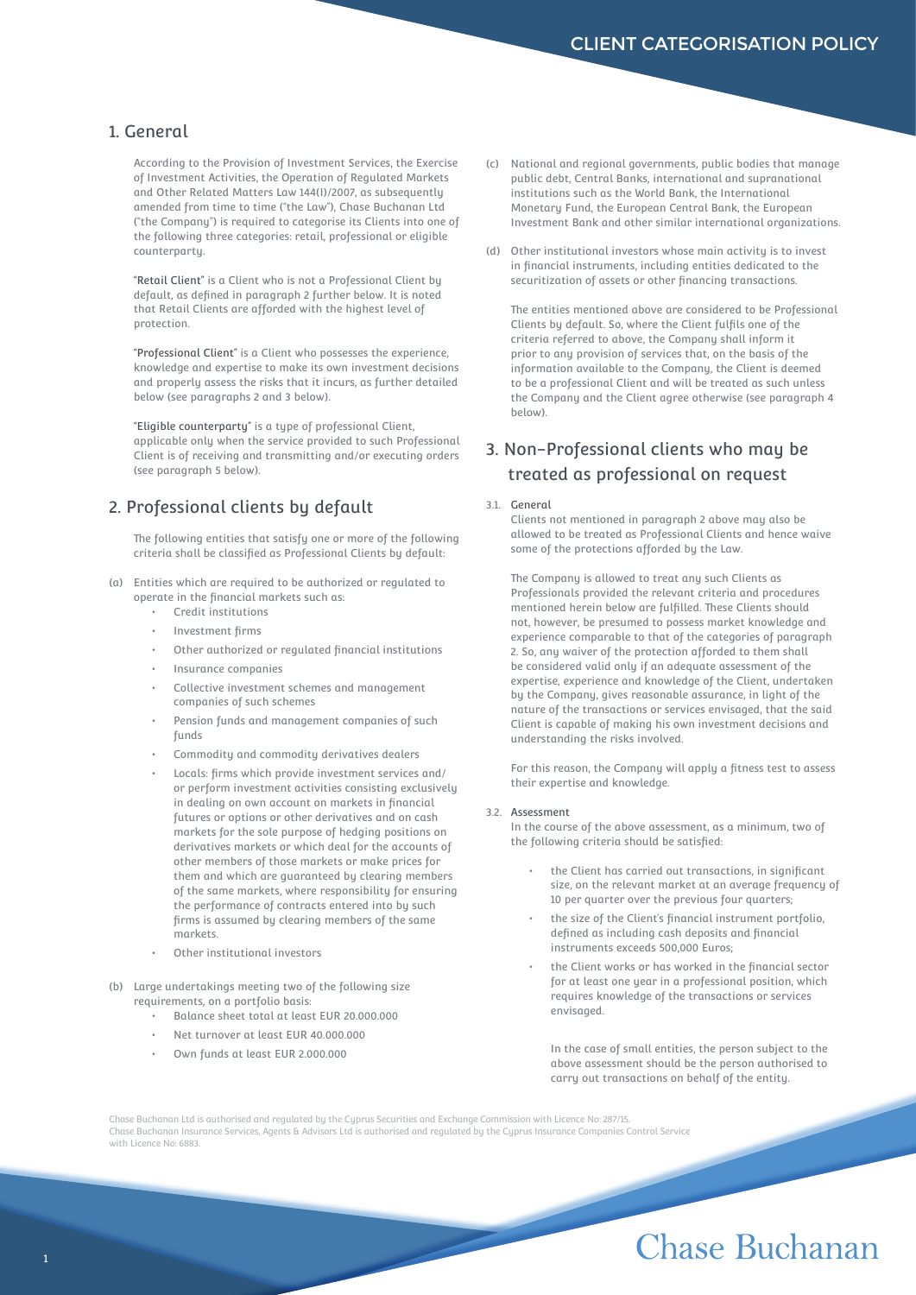## 1. General

According to the Provision of Investment Services, the Exercise of Investment Activities, the Operation of Regulated Markets and Other Related Matters Law 144(I)/2007, as subsequently amended from time to time ("the Law"), Chase Buchanan Ltd ("the Company") is required to categorise its Clients into one of the following three categories: retail, professional or eligible counterparty.

"Retail Client" is a Client who is not a Professional Client by default, as defined in paragraph 2 further below. It is noted that Retail Clients are afforded with the highest level of protection.

"Professional Client" is a Client who possesses the experience, knowledge and expertise to make its own investment decisions and properly assess the risks that it incurs, as further detailed below (see paragraphs 2 and 3 below).

"Eligible counterparty" is a type of professional Client, applicable only when the service provided to such Professional Client is of receiving and transmitting and/or executing orders (see paragraph 5 below).

## 2. Professional clients by default

The following entities that satisfy one or more of the following criteria shall be classified as Professional Clients by default:

- (a) Entities which are required to be authorized or regulated to operate in the financial markets such as:
	- Credit institutions
	- Investment firms
	- Other authorized or regulated financial institutions
	- Insurance companies
	- Collective investment schemes and management companies of such schemes
	- Pension funds and management companies of such funds
	- Commodity and commodity derivatives dealers
	- Locals: firms which provide investment services and/ or perform investment activities consisting exclusively in dealing on own account on markets in financial futures or options or other derivatives and on cash markets for the sole purpose of hedging positions on derivatives markets or which deal for the accounts of other members of those markets or make prices for them and which are guaranteed by clearing members of the same markets, where responsibility for ensuring the performance of contracts entered into by such firms is assumed by clearing members of the same markets.
	- Other institutional investors
- (b) Large undertakings meeting two of the following size requirements, on a portfolio basis:
	- Balance sheet total at least EUR 20.000.000
	- Net turnover at least EUR 40.000.000
	- Own funds at least EUR 2.000.000
- (c) National and regional governments, public bodies that manage public debt, Central Banks, international and supranational institutions such as the World Bank, the International Monetary Fund, the European Central Bank, the European Investment Bank and other similar international organizations.
- (d) Other institutional investors whose main activity is to invest in financial instruments, including entities dedicated to the securitization of assets or other financing transactions.

The entities mentioned above are considered to be Professional Clients by default. So, where the Client fulfils one of the criteria referred to above, the Company shall inform it prior to any provision of services that, on the basis of the information available to the Company, the Client is deemed to be a professional Client and will be treated as such unless the Company and the Client agree otherwise (see paragraph 4 below).

## 3. Non-Professional clients who may be treated as professional on request

#### 3.1. General

Clients not mentioned in paragraph 2 above may also be allowed to be treated as Professional Clients and hence waive some of the protections afforded by the Law.

The Company is allowed to treat any such Clients as Professionals provided the relevant criteria and procedures mentioned herein below are fulfilled. These Clients should not, however, be presumed to possess market knowledge and experience comparable to that of the categories of paragraph 2. So, any waiver of the protection afforded to them shall be considered valid only if an adequate assessment of the expertise, experience and knowledge of the Client, undertaken by the Company, gives reasonable assurance, in light of the nature of the transactions or services envisaged, that the said Client is capable of making his own investment decisions and understanding the risks involved.

For this reason, the Company will apply a fitness test to assess their expertise and knowledge.

#### 3.2. Assessment

In the course of the above assessment, as a minimum, two of the following criteria should be satisfied:

- the Client has carried out transactions, in significant size, on the relevant market at an average frequency of 10 per quarter over the previous four quarters;
- the size of the Client's financial instrument portfolio, defined as including cash deposits and financial instruments exceeds 500,000 Euros;
- the Client works or has worked in the financial sector for at least one year in a professional position, which requires knowledge of the transactions or services envisaged.

In the case of small entities, the person subject to the above assessment should be the person authorised to carry out transactions on behalf of the entity.

Chase Buchanan Ltd is authorised and regulated by the Cyprus Securities and Exchange Commission with Licence No: 287/15. Chase Buchanan Insurance Services, Agents & Advisors Ltd is authorised and regulated by the Cyprus Insurance Companies Control Service with Licence No: 6883.

# **Chase Buchanan**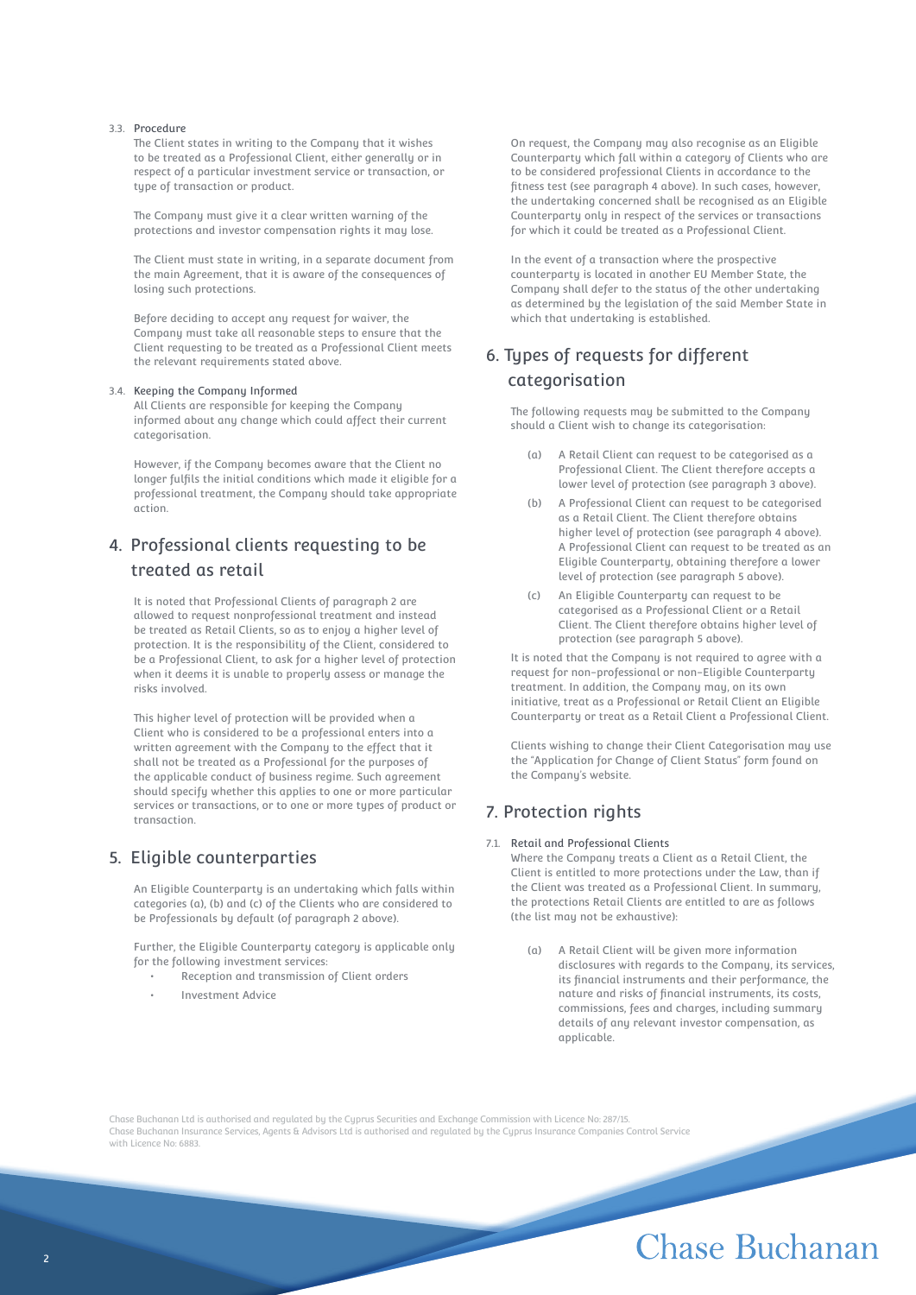### 3.3. Procedure

The Client states in writing to the Company that it wishes to be treated as a Professional Client, either generally or in respect of a particular investment service or transaction, or tupe of transaction or product.

The Company must give it a clear written warning of the protections and investor compensation rights it may lose.

The Client must state in writing, in a separate document from the main Agreement, that it is aware of the consequences of losing such protections.

Before deciding to accept any request for waiver, the Company must take all reasonable steps to ensure that the Client requesting to be treated as a Professional Client meets the relevant requirements stated above.

#### 3.4. Keeping the Company Informed

All Clients are responsible for keeping the Company informed about any change which could affect their current categorisation.

However, if the Company becomes aware that the Client no longer fulfils the initial conditions which made it eligible for a professional treatment, the Company should take appropriate action.

## 4. Professional clients requesting to be treated as retail

It is noted that Professional Clients of paragraph 2 are allowed to request nonprofessional treatment and instead be treated as Retail Clients, so as to enjoy a higher level of protection. It is the responsibility of the Client, considered to be a Professional Client, to ask for a higher level of protection when it deems it is unable to properly assess or manage the risks involved.

This higher level of protection will be provided when a Client who is considered to be a professional enters into a written agreement with the Company to the effect that it shall not be treated as a Professional for the purposes of the applicable conduct of business regime. Such agreement should specify whether this applies to one or more particular services or transactions, or to one or more types of product or transaction.

## 5. Eligible counterparties

An Eligible Counterparty is an undertaking which falls within categories (a), (b) and (c) of the Clients who are considered to be Professionals by default (of paragraph 2 above).

Further, the Eligible Counterparty category is applicable only for the following investment services:

- Reception and transmission of Client orders
- Investment Advice

On request, the Company may also recognise as an Eligible Counterparty which fall within a category of Clients who are to be considered professional Clients in accordance to the fitness test (see paragraph 4 above). In such cases, however, the undertaking concerned shall be recognised as an Eligible Counterparty only in respect of the services or transactions for which it could be treated as a Professional Client.

In the event of a transaction where the prospective counterparty is located in another EU Member State, the Company shall defer to the status of the other undertaking as determined by the legislation of the said Member State in which that undertaking is established.

## 6. Types of requests for different categorisation

The following requests may be submitted to the Company should a Client wish to change its categorisation:

- (a) A Retail Client can request to be categorised as a Professional Client. The Client therefore accepts a lower level of protection (see paragraph 3 above).
- (b) A Professional Client can request to be categorised as a Retail Client. The Client therefore obtains higher level of protection (see paragraph 4 above). A Professional Client can request to be treated as an Eligible Counterparty, obtaining therefore a lower level of protection (see paragraph 5 above).
- (c) An Eligible Counterparty can request to be categorised as a Professional Client or a Retail Client. The Client therefore obtains higher level of protection (see paragraph 5 above).

It is noted that the Company is not required to agree with a request for non-professional or non-Eligible Counterparty treatment. In addition, the Company may, on its own initiative, treat as a Professional or Retail Client an Eligible Counterparty or treat as a Retail Client a Professional Client.

Clients wishing to change their Client Categorisation may use the "Application for Change of Client Status" form found on the Company's website.

## 7. Protection rights

### 7.1. Retail and Professional Clients

Where the Company treats a Client as a Retail Client, the Client is entitled to more protections under the Law, than if the Client was treated as a Professional Client. In summary, the protections Retail Clients are entitled to are as follows (the list may not be exhaustive):

(a) A Retail Client will be given more information disclosures with regards to the Company, its services, its financial instruments and their performance, the nature and risks of financial instruments, its costs, commissions, fees and charges, including summary details of any relevant investor compensation, as applicable.

Chase Buchanan Ltd is authorised and regulated by the Cyprus Securities and Exchange Commission with Licence No: 287/15. Chase Buchanan Insurance Services, Agents & Advisors Ltd is authorised and regulated by the Cyprus Insurance Companies Control Service with Licence No: 6883.

# Chase Buchanan